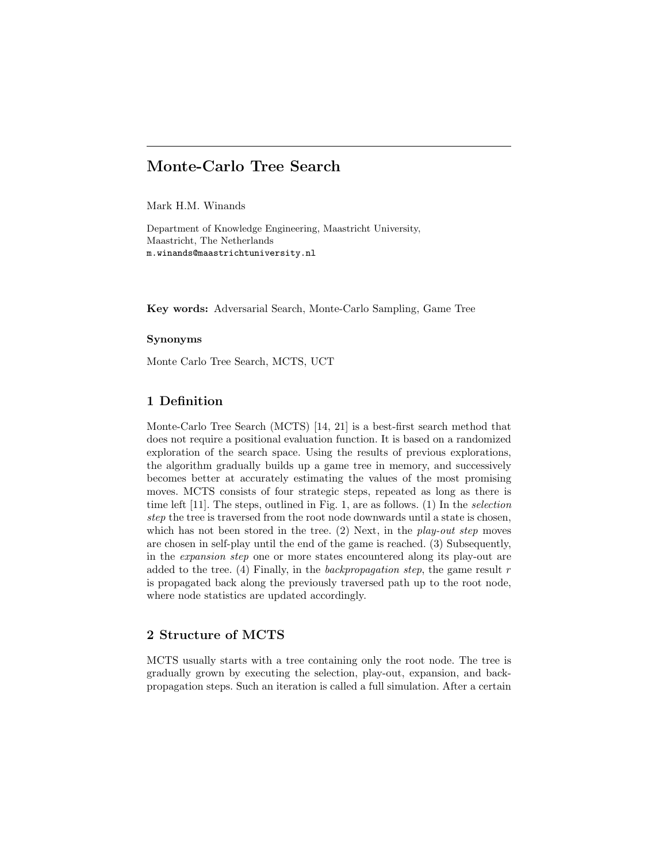# Monte-Carlo Tree Search

Mark H.M. Winands

Department of Knowledge Engineering, Maastricht University, Maastricht, The Netherlands m.winands@maastrichtuniversity.nl

Key words: Adversarial Search, Monte-Carlo Sampling, Game Tree

### Synonyms

Monte Carlo Tree Search, MCTS, UCT

# 1 Definition

Monte-Carlo Tree Search (MCTS) [14, 21] is a best-first search method that does not require a positional evaluation function. It is based on a randomized exploration of the search space. Using the results of previous explorations, the algorithm gradually builds up a game tree in memory, and successively becomes better at accurately estimating the values of the most promising moves. MCTS consists of four strategic steps, repeated as long as there is time left [11]. The steps, outlined in Fig. 1, are as follows. (1) In the selection step the tree is traversed from the root node downwards until a state is chosen, which has not been stored in the tree.  $(2)$  Next, in the *play-out step* moves are chosen in self-play until the end of the game is reached. (3) Subsequently, in the expansion step one or more states encountered along its play-out are added to the tree. (4) Finally, in the backpropagation step, the game result  $r$ is propagated back along the previously traversed path up to the root node, where node statistics are updated accordingly.

## 2 Structure of MCTS

MCTS usually starts with a tree containing only the root node. The tree is gradually grown by executing the selection, play-out, expansion, and backpropagation steps. Such an iteration is called a full simulation. After a certain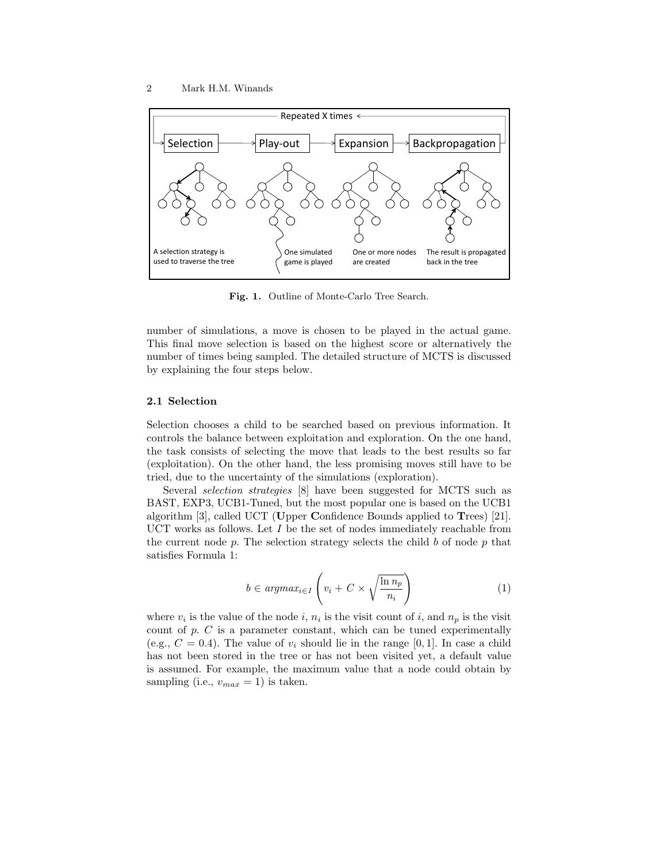

Fig. 1. Outline of Monte-Carlo Tree Search.

number of simulations, a move is chosen to be played in the actual game. This final move selection is based on the highest score or alternatively the number of times being sampled. The detailed structure of MCTS is discussed by explaining the four steps below.

#### 2.1 Selection

Selection chooses a child to be searched based on previous information. It controls the balance between exploitation and exploration. On the one hand, the task consists of selecting the move that leads to the best results so far (exploitation). On the other hand, the less promising moves still have to be tried, due to the uncertainty of the simulations (exploration).

Several selection strategies [8] have been suggested for MCTS such as BAST, EXP3, UCB1-Tuned, but the most popular one is based on the UCB1 algorithm [3], called UCT (Upper Confidence Bounds applied to Trees) [21]. UCT works as follows. Let  $I$  be the set of nodes immediately reachable from the current node p. The selection strategy selects the child b of node p that satisfies Formula 1:

$$
b \in argmax_{i \in I} \left( v_i + C \times \sqrt{\frac{\ln n_p}{n_i}} \right) \tag{1}
$$

where  $v_i$  is the value of the node i,  $n_i$  is the visit count of i, and  $n_p$  is the visit count of  $p$ .  $C$  is a parameter constant, which can be tuned experimentally (e.g.,  $C = 0.4$ ). The value of  $v_i$  should lie in the range [0, 1]. In case a child has not been stored in the tree or has not been visited yet, a default value is assumed. For example, the maximum value that a node could obtain by sampling (i.e.,  $v_{max} = 1$ ) is taken.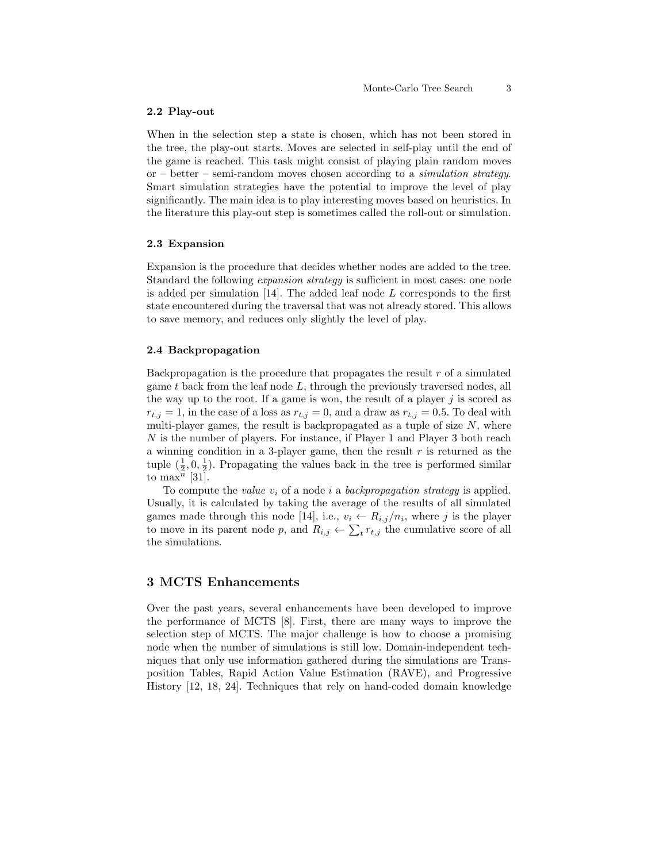#### 2.2 Play-out

When in the selection step a state is chosen, which has not been stored in the tree, the play-out starts. Moves are selected in self-play until the end of the game is reached. This task might consist of playing plain random moves or – better – semi-random moves chosen according to a *simulation strategy*. Smart simulation strategies have the potential to improve the level of play significantly. The main idea is to play interesting moves based on heuristics. In the literature this play-out step is sometimes called the roll-out or simulation.

### 2.3 Expansion

Expansion is the procedure that decides whether nodes are added to the tree. Standard the following *expansion strategy* is sufficient in most cases: one node is added per simulation  $[14]$ . The added leaf node  $L$  corresponds to the first state encountered during the traversal that was not already stored. This allows to save memory, and reduces only slightly the level of play.

#### 2.4 Backpropagation

Backpropagation is the procedure that propagates the result  $r$  of a simulated game  $t$  back from the leaf node  $L$ , through the previously traversed nodes, all the way up to the root. If a game is won, the result of a player  $j$  is scored as  $r_{t,i} = 1$ , in the case of a loss as  $r_{t,j} = 0$ , and a draw as  $r_{t,j} = 0.5$ . To deal with multi-player games, the result is backpropagated as a tuple of size  $N$ , where N is the number of players. For instance, if Player 1 and Player 3 both reach a winning condition in a 3-player game, then the result  $r$  is returned as the tuple  $(\frac{1}{2}, 0, \frac{1}{2})$ . Propagating the values back in the tree is performed similar to max<sup>n</sup> [31].

To compute the value  $v_i$  of a node i a backpropagation strategy is applied. Usually, it is calculated by taking the average of the results of all simulated games made through this node [14], i.e.,  $v_i \leftarrow R_{i,j}/n_i$ , where j is the player to move in its parent node p, and  $R_{i,j} \leftarrow \sum_t r_{t,j}$  the cumulative score of all the simulations.

# 3 MCTS Enhancements

Over the past years, several enhancements have been developed to improve the performance of MCTS [8]. First, there are many ways to improve the selection step of MCTS. The major challenge is how to choose a promising node when the number of simulations is still low. Domain-independent techniques that only use information gathered during the simulations are Transposition Tables, Rapid Action Value Estimation (RAVE), and Progressive History [12, 18, 24]. Techniques that rely on hand-coded domain knowledge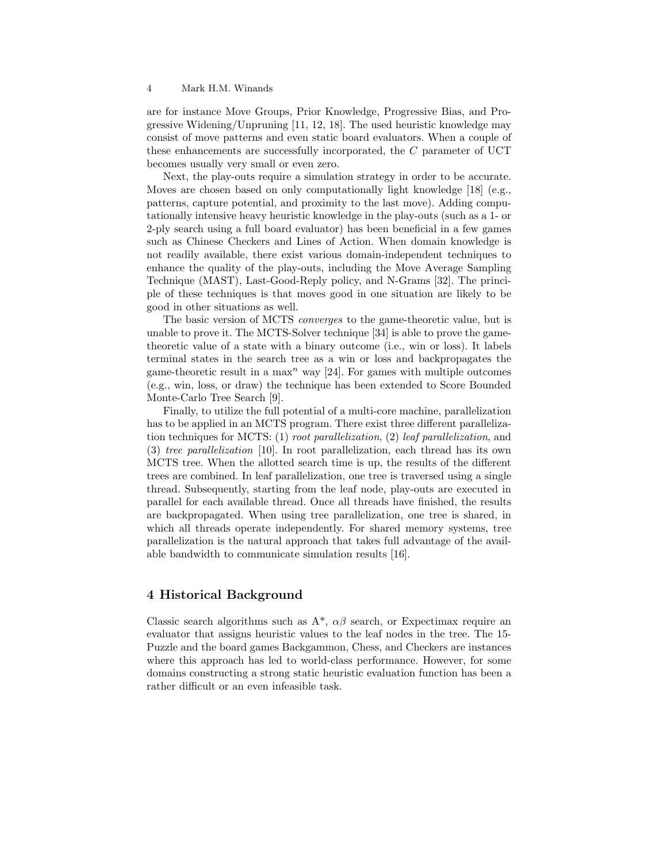#### 4 Mark H.M. Winands

are for instance Move Groups, Prior Knowledge, Progressive Bias, and Progressive Widening/Unpruning [11, 12, 18]. The used heuristic knowledge may consist of move patterns and even static board evaluators. When a couple of these enhancements are successfully incorporated, the C parameter of UCT becomes usually very small or even zero.

Next, the play-outs require a simulation strategy in order to be accurate. Moves are chosen based on only computationally light knowledge [18] (e.g., patterns, capture potential, and proximity to the last move). Adding computationally intensive heavy heuristic knowledge in the play-outs (such as a 1- or 2-ply search using a full board evaluator) has been beneficial in a few games such as Chinese Checkers and Lines of Action. When domain knowledge is not readily available, there exist various domain-independent techniques to enhance the quality of the play-outs, including the Move Average Sampling Technique (MAST), Last-Good-Reply policy, and N-Grams [32]. The principle of these techniques is that moves good in one situation are likely to be good in other situations as well.

The basic version of MCTS converges to the game-theoretic value, but is unable to prove it. The MCTS-Solver technique [34] is able to prove the gametheoretic value of a state with a binary outcome (i.e., win or loss). It labels terminal states in the search tree as a win or loss and backpropagates the game-theoretic result in a max<sup>n</sup> way [24]. For games with multiple outcomes (e.g., win, loss, or draw) the technique has been extended to Score Bounded Monte-Carlo Tree Search [9].

Finally, to utilize the full potential of a multi-core machine, parallelization has to be applied in an MCTS program. There exist three different parallelization techniques for MCTS: (1) root parallelization, (2) leaf parallelization, and (3) tree parallelization [10]. In root parallelization, each thread has its own MCTS tree. When the allotted search time is up, the results of the different trees are combined. In leaf parallelization, one tree is traversed using a single thread. Subsequently, starting from the leaf node, play-outs are executed in parallel for each available thread. Once all threads have finished, the results are backpropagated. When using tree parallelization, one tree is shared, in which all threads operate independently. For shared memory systems, tree parallelization is the natural approach that takes full advantage of the available bandwidth to communicate simulation results [16].

# 4 Historical Background

Classic search algorithms such as  $A^*$ ,  $\alpha\beta$  search, or Expectimax require an evaluator that assigns heuristic values to the leaf nodes in the tree. The 15- Puzzle and the board games Backgammon, Chess, and Checkers are instances where this approach has led to world-class performance. However, for some domains constructing a strong static heuristic evaluation function has been a rather difficult or an even infeasible task.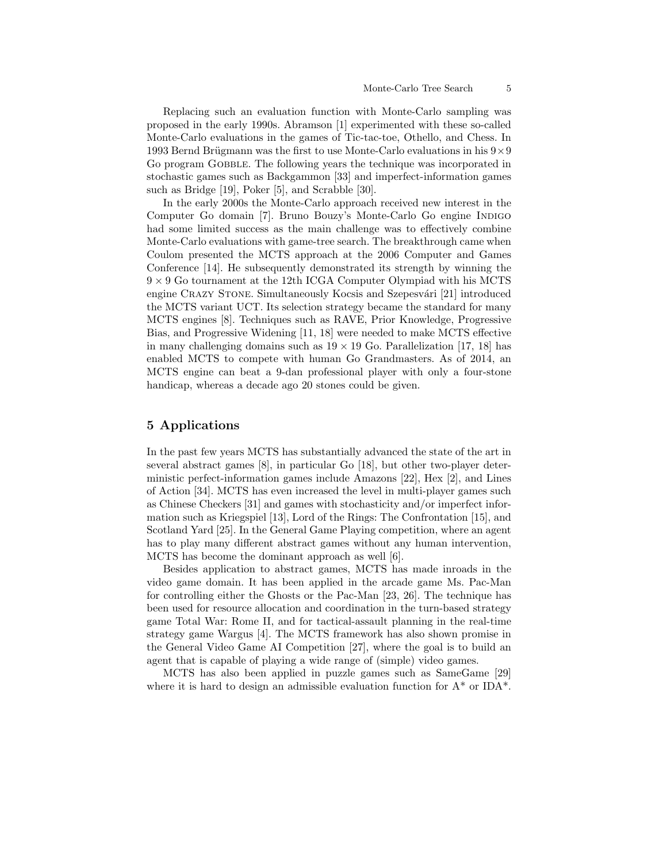Replacing such an evaluation function with Monte-Carlo sampling was proposed in the early 1990s. Abramson [1] experimented with these so-called Monte-Carlo evaluations in the games of Tic-tac-toe, Othello, and Chess. In 1993 Bernd Brügmann was the first to use Monte-Carlo evaluations in his  $9 \times 9$ Go program Gobble. The following years the technique was incorporated in stochastic games such as Backgammon [33] and imperfect-information games such as Bridge [19], Poker [5], and Scrabble [30].

In the early 2000s the Monte-Carlo approach received new interest in the Computer Go domain [7]. Bruno Bouzy's Monte-Carlo Go engine INDIGO had some limited success as the main challenge was to effectively combine Monte-Carlo evaluations with game-tree search. The breakthrough came when Coulom presented the MCTS approach at the 2006 Computer and Games Conference [14]. He subsequently demonstrated its strength by winning the  $9 \times 9$  Go tournament at the 12th ICGA Computer Olympiad with his MCTS engine CRAZY STONE. Simultaneously Kocsis and Szepesvári [21] introduced the MCTS variant UCT. Its selection strategy became the standard for many MCTS engines [8]. Techniques such as RAVE, Prior Knowledge, Progressive Bias, and Progressive Widening [11, 18] were needed to make MCTS effective in many challenging domains such as  $19 \times 19$  Go. Parallelization [17, 18] has enabled MCTS to compete with human Go Grandmasters. As of 2014, an MCTS engine can beat a 9-dan professional player with only a four-stone handicap, whereas a decade ago 20 stones could be given.

# 5 Applications

In the past few years MCTS has substantially advanced the state of the art in several abstract games [8], in particular Go [18], but other two-player deterministic perfect-information games include Amazons [22], Hex [2], and Lines of Action [34]. MCTS has even increased the level in multi-player games such as Chinese Checkers [31] and games with stochasticity and/or imperfect information such as Kriegspiel [13], Lord of the Rings: The Confrontation [15], and Scotland Yard [25]. In the General Game Playing competition, where an agent has to play many different abstract games without any human intervention, MCTS has become the dominant approach as well [6].

Besides application to abstract games, MCTS has made inroads in the video game domain. It has been applied in the arcade game Ms. Pac-Man for controlling either the Ghosts or the Pac-Man [23, 26]. The technique has been used for resource allocation and coordination in the turn-based strategy game Total War: Rome II, and for tactical-assault planning in the real-time strategy game Wargus [4]. The MCTS framework has also shown promise in the General Video Game AI Competition [27], where the goal is to build an agent that is capable of playing a wide range of (simple) video games.

MCTS has also been applied in puzzle games such as SameGame [29] where it is hard to design an admissible evaluation function for  $A^*$  or IDA<sup>\*</sup>.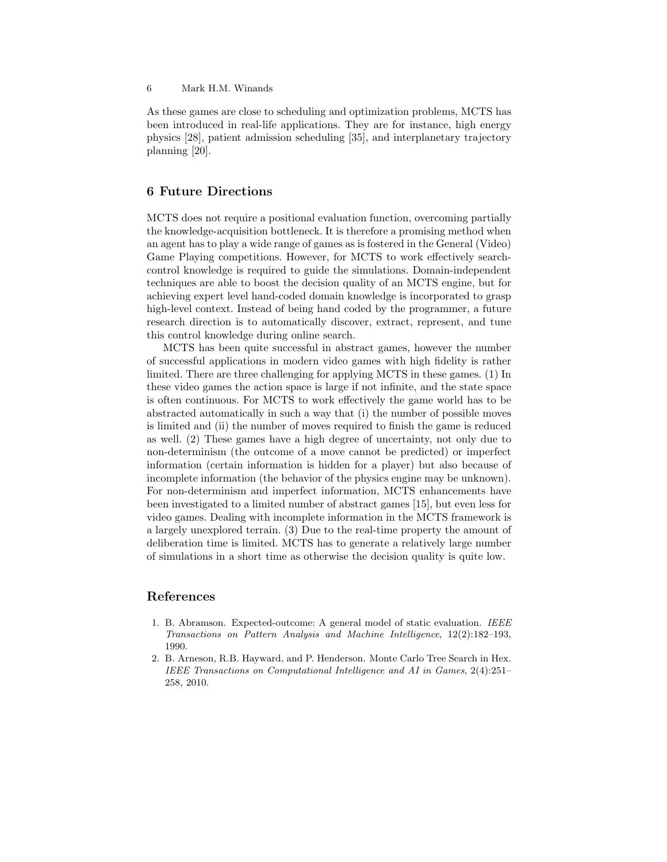### 6 Mark H.M. Winands

As these games are close to scheduling and optimization problems, MCTS has been introduced in real-life applications. They are for instance, high energy physics [28], patient admission scheduling [35], and interplanetary trajectory planning [20].

# 6 Future Directions

MCTS does not require a positional evaluation function, overcoming partially the knowledge-acquisition bottleneck. It is therefore a promising method when an agent has to play a wide range of games as is fostered in the General (Video) Game Playing competitions. However, for MCTS to work effectively searchcontrol knowledge is required to guide the simulations. Domain-independent techniques are able to boost the decision quality of an MCTS engine, but for achieving expert level hand-coded domain knowledge is incorporated to grasp high-level context. Instead of being hand coded by the programmer, a future research direction is to automatically discover, extract, represent, and tune this control knowledge during online search.

MCTS has been quite successful in abstract games, however the number of successful applications in modern video games with high fidelity is rather limited. There are three challenging for applying MCTS in these games. (1) In these video games the action space is large if not infinite, and the state space is often continuous. For MCTS to work effectively the game world has to be abstracted automatically in such a way that (i) the number of possible moves is limited and (ii) the number of moves required to finish the game is reduced as well. (2) These games have a high degree of uncertainty, not only due to non-determinism (the outcome of a move cannot be predicted) or imperfect information (certain information is hidden for a player) but also because of incomplete information (the behavior of the physics engine may be unknown). For non-determinism and imperfect information, MCTS enhancements have been investigated to a limited number of abstract games [15], but even less for video games. Dealing with incomplete information in the MCTS framework is a largely unexplored terrain. (3) Due to the real-time property the amount of deliberation time is limited. MCTS has to generate a relatively large number of simulations in a short time as otherwise the decision quality is quite low.

### References

- 1. B. Abramson. Expected-outcome: A general model of static evaluation. IEEE Transactions on Pattern Analysis and Machine Intelligence, 12(2):182–193, 1990.
- 2. B. Arneson, R.B. Hayward, and P. Henderson. Monte Carlo Tree Search in Hex. IEEE Transactions on Computational Intelligence and AI in Games, 2(4):251– 258, 2010.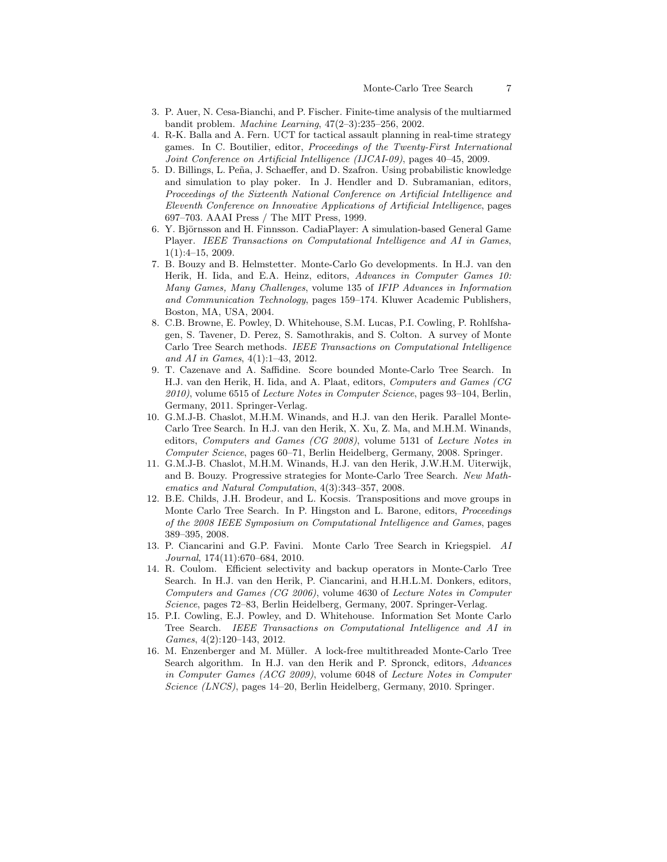- 3. P. Auer, N. Cesa-Bianchi, and P. Fischer. Finite-time analysis of the multiarmed bandit problem. Machine Learning, 47(2–3):235–256, 2002.
- 4. R-K. Balla and A. Fern. UCT for tactical assault planning in real-time strategy games. In C. Boutilier, editor, Proceedings of the Twenty-First International Joint Conference on Artificial Intelligence (IJCAI-09), pages 40–45, 2009.
- 5. D. Billings, L. Pe˜na, J. Schaeffer, and D. Szafron. Using probabilistic knowledge and simulation to play poker. In J. Hendler and D. Subramanian, editors, Proceedings of the Sixteenth National Conference on Artificial Intelligence and Eleventh Conference on Innovative Applications of Artificial Intelligence, pages 697–703. AAAI Press / The MIT Press, 1999.
- 6. Y. Björnsson and H. Finnsson. CadiaPlayer: A simulation-based General Game Player. IEEE Transactions on Computational Intelligence and AI in Games, 1(1):4–15, 2009.
- 7. B. Bouzy and B. Helmstetter. Monte-Carlo Go developments. In H.J. van den Herik, H. Iida, and E.A. Heinz, editors, Advances in Computer Games 10: Many Games, Many Challenges, volume 135 of IFIP Advances in Information and Communication Technology, pages 159–174. Kluwer Academic Publishers, Boston, MA, USA, 2004.
- 8. C.B. Browne, E. Powley, D. Whitehouse, S.M. Lucas, P.I. Cowling, P. Rohlfshagen, S. Tavener, D. Perez, S. Samothrakis, and S. Colton. A survey of Monte Carlo Tree Search methods. IEEE Transactions on Computational Intelligence and AI in Games, 4(1):1–43, 2012.
- 9. T. Cazenave and A. Saffidine. Score bounded Monte-Carlo Tree Search. In H.J. van den Herik, H. Iida, and A. Plaat, editors, Computers and Games (CG  $2010$ , volume 6515 of *Lecture Notes in Computer Science*, pages 93–104, Berlin, Germany, 2011. Springer-Verlag.
- 10. G.M.J-B. Chaslot, M.H.M. Winands, and H.J. van den Herik. Parallel Monte-Carlo Tree Search. In H.J. van den Herik, X. Xu, Z. Ma, and M.H.M. Winands, editors, Computers and Games (CG 2008), volume 5131 of Lecture Notes in Computer Science, pages 60–71, Berlin Heidelberg, Germany, 2008. Springer.
- 11. G.M.J-B. Chaslot, M.H.M. Winands, H.J. van den Herik, J.W.H.M. Uiterwijk, and B. Bouzy. Progressive strategies for Monte-Carlo Tree Search. New Mathematics and Natural Computation, 4(3):343–357, 2008.
- 12. B.E. Childs, J.H. Brodeur, and L. Kocsis. Transpositions and move groups in Monte Carlo Tree Search. In P. Hingston and L. Barone, editors, *Proceedings* of the 2008 IEEE Symposium on Computational Intelligence and Games, pages 389–395, 2008.
- 13. P. Ciancarini and G.P. Favini. Monte Carlo Tree Search in Kriegspiel. AI Journal, 174(11):670–684, 2010.
- 14. R. Coulom. Efficient selectivity and backup operators in Monte-Carlo Tree Search. In H.J. van den Herik, P. Ciancarini, and H.H.L.M. Donkers, editors, Computers and Games (CG 2006), volume 4630 of Lecture Notes in Computer Science, pages 72–83, Berlin Heidelberg, Germany, 2007. Springer-Verlag.
- 15. P.I. Cowling, E.J. Powley, and D. Whitehouse. Information Set Monte Carlo Tree Search. IEEE Transactions on Computational Intelligence and AI in Games, 4(2):120–143, 2012.
- 16. M. Enzenberger and M. Müller. A lock-free multithreaded Monte-Carlo Tree Search algorithm. In H.J. van den Herik and P. Spronck, editors, Advances in Computer Games (ACG 2009), volume 6048 of Lecture Notes in Computer Science (LNCS), pages 14–20, Berlin Heidelberg, Germany, 2010. Springer.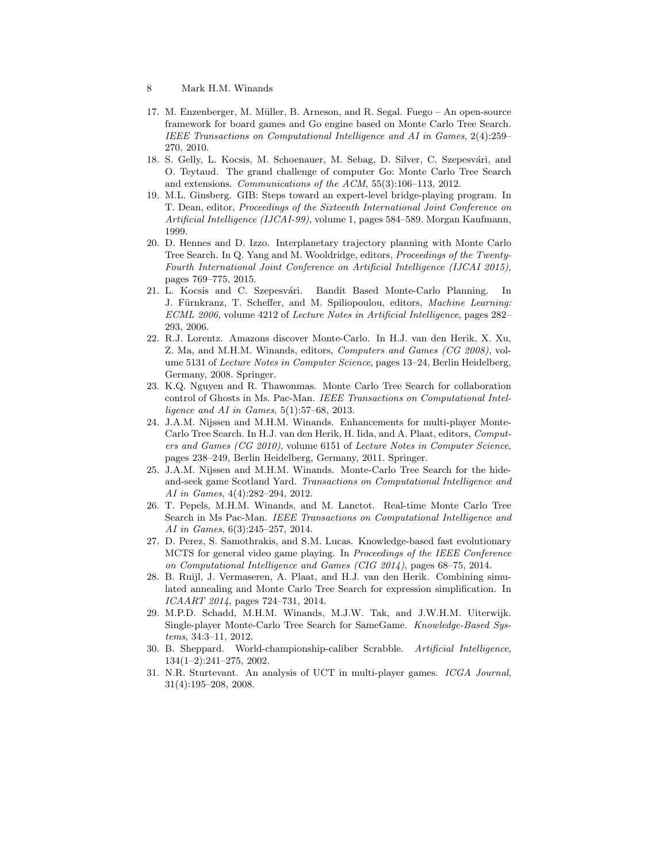- 8 Mark H.M. Winands
- 17. M. Enzenberger, M. Müller, B. Arneson, and R. Segal. Fuego An open-source framework for board games and Go engine based on Monte Carlo Tree Search. IEEE Transactions on Computational Intelligence and AI in Games, 2(4):259– 270, 2010.
- 18. S. Gelly, L. Kocsis, M. Schoenauer, M. Sebag, D. Silver, C. Szepesvári, and O. Teytaud. The grand challenge of computer Go: Monte Carlo Tree Search and extensions. Communications of the ACM, 55(3):106–113, 2012.
- 19. M.L. Ginsberg. GIB: Steps toward an expert-level bridge-playing program. In T. Dean, editor, Proceedings of the Sixteenth International Joint Conference on Artificial Intelligence (IJCAI-99), volume 1, pages 584–589. Morgan Kaufmann, 1999.
- 20. D. Hennes and D. Izzo. Interplanetary trajectory planning with Monte Carlo Tree Search. In Q. Yang and M. Wooldridge, editors, Proceedings of the Twenty-Fourth International Joint Conference on Artificial Intelligence (IJCAI 2015), pages 769–775, 2015.
- 21. L. Kocsis and C. Szepesvári. Bandit Based Monte-Carlo Planning. In J. Fürnkranz, T. Scheffer, and M. Spiliopoulou, editors, Machine Learning: ECML 2006, volume 4212 of Lecture Notes in Artificial Intelligence, pages 282– 293, 2006.
- 22. R.J. Lorentz. Amazons discover Monte-Carlo. In H.J. van den Herik, X. Xu, Z. Ma, and M.H.M. Winands, editors, Computers and Games (CG 2008), volume 5131 of Lecture Notes in Computer Science, pages 13–24, Berlin Heidelberg, Germany, 2008. Springer.
- 23. K.Q. Nguyen and R. Thawonmas. Monte Carlo Tree Search for collaboration control of Ghosts in Ms. Pac-Man. IEEE Transactions on Computational Intelligence and AI in Games,  $5(1):57-68$ , 2013.
- 24. J.A.M. Nijssen and M.H.M. Winands. Enhancements for multi-player Monte-Carlo Tree Search. In H.J. van den Herik, H. Iida, and A. Plaat, editors, Computers and Games (CG 2010), volume 6151 of Lecture Notes in Computer Science, pages 238–249, Berlin Heidelberg, Germany, 2011. Springer.
- 25. J.A.M. Nijssen and M.H.M. Winands. Monte-Carlo Tree Search for the hideand-seek game Scotland Yard. Transactions on Computational Intelligence and AI in Games, 4(4):282–294, 2012.
- 26. T. Pepels, M.H.M. Winands, and M. Lanctot. Real-time Monte Carlo Tree Search in Ms Pac-Man. IEEE Transactions on Computational Intelligence and AI in Games, 6(3):245–257, 2014.
- 27. D. Perez, S. Samothrakis, and S.M. Lucas. Knowledge-based fast evolutionary MCTS for general video game playing. In Proceedings of the IEEE Conference on Computational Intelligence and Games (CIG 2014), pages 68–75, 2014.
- 28. B. Ruijl, J. Vermaseren, A. Plaat, and H.J. van den Herik. Combining simulated annealing and Monte Carlo Tree Search for expression simplification. In ICAART 2014, pages 724–731, 2014.
- 29. M.P.D. Schadd, M.H.M. Winands, M.J.W. Tak, and J.W.H.M. Uiterwijk. Single-player Monte-Carlo Tree Search for SameGame. Knowledge-Based Systems, 34:3–11, 2012.
- 30. B. Sheppard. World-championship-caliber Scrabble. Artificial Intelligence, 134(1–2):241–275, 2002.
- 31. N.R. Sturtevant. An analysis of UCT in multi-player games. ICGA Journal, 31(4):195–208, 2008.